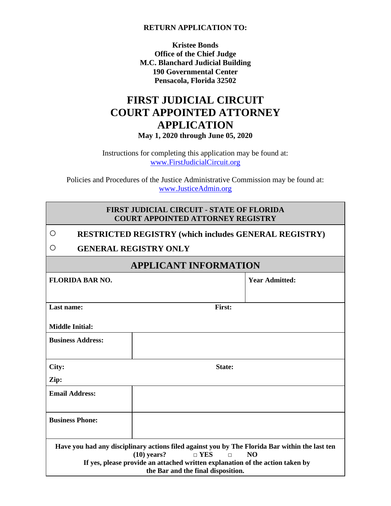#### **RETURN APPLICATION TO:**

**Kristee Bonds Office of the Chief Judge M.C. Blanchard Judicial Building 190 Governmental Center Pensacola, Florida 32502**

### **FIRST JUDICIAL CIRCUIT COURT APPOINTED ATTORNEY APPLICATION May 1, 2020 through June 05, 2020**

Instructions for completing this application may be found at: [www.FirstJudicialCircuit.org](http://www.firstjudicialcircuit.org/)

Policies and Procedures of the Justice Administrative Commission may be found at: [www.JusticeAdmin.org](http://www.justiceadmin.org/)

| <b>FIRST JUDICIAL CIRCUIT - STATE OF FLORIDA</b> |
|--------------------------------------------------|
| <b>COURT APPOINTED ATTORNEY REGISTRY</b>         |

|                              | <b>RESTRICTED REGISTRY (which includes GENERAL REGISTRY)</b> |                       |  |
|------------------------------|--------------------------------------------------------------|-----------------------|--|
|                              | <b>GENERAL REGISTRY ONLY</b>                                 |                       |  |
| <b>APPLICANT INFORMATION</b> |                                                              |                       |  |
| FLORIDA BAR NO.              |                                                              | <b>Year Admitted:</b> |  |

| <b>FLORIDA BAR NO.</b>   |                                                                                                                     | <b>Year Admitted:</b>                                                                                       |
|--------------------------|---------------------------------------------------------------------------------------------------------------------|-------------------------------------------------------------------------------------------------------------|
| Last name:               | First:                                                                                                              |                                                                                                             |
| <b>Middle Initial:</b>   |                                                                                                                     |                                                                                                             |
| <b>Business Address:</b> |                                                                                                                     |                                                                                                             |
| City:                    | State:                                                                                                              |                                                                                                             |
| Zip:                     |                                                                                                                     |                                                                                                             |
| <b>Email Address:</b>    |                                                                                                                     |                                                                                                             |
| <b>Business Phone:</b>   |                                                                                                                     |                                                                                                             |
|                          | $(10)$ years?<br>$\Box$ YES<br>$\Box$                                                                               | Have you had any disciplinary actions filed against you by The Florida Bar within the last ten<br><b>NO</b> |
|                          | If yes, please provide an attached written explanation of the action taken by<br>the Bar and the final disposition. |                                                                                                             |
|                          |                                                                                                                     |                                                                                                             |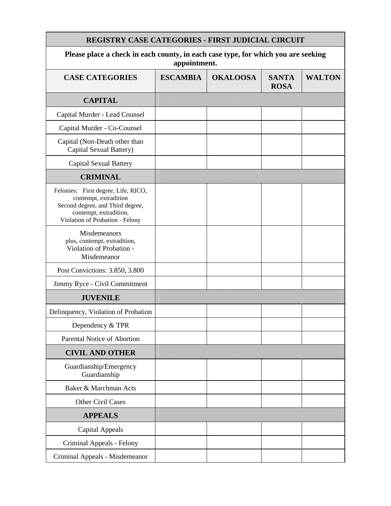| <b>REGISTRY CASE CATEGORIES - FIRST JUDICIAL CIRCUIT</b>                                                                                                      |                 |                 |                             |               |
|---------------------------------------------------------------------------------------------------------------------------------------------------------------|-----------------|-----------------|-----------------------------|---------------|
| Please place a check in each county, in each case type, for which you are seeking<br>appointment.                                                             |                 |                 |                             |               |
| <b>CASE CATEGORIES</b>                                                                                                                                        | <b>ESCAMBIA</b> | <b>OKALOOSA</b> | <b>SANTA</b><br><b>ROSA</b> | <b>WALTON</b> |
| <b>CAPITAL</b>                                                                                                                                                |                 |                 |                             |               |
| Capital Murder - Lead Counsel                                                                                                                                 |                 |                 |                             |               |
| Capital Murder - Co-Counsel                                                                                                                                   |                 |                 |                             |               |
| Capital (Non-Death other than<br>Capital Sexual Battery)                                                                                                      |                 |                 |                             |               |
| <b>Capital Sexual Battery</b>                                                                                                                                 |                 |                 |                             |               |
| <b>CRIMINAL</b>                                                                                                                                               |                 |                 |                             |               |
| Felonies: First degree, Life, RICO,<br>contempt, extradition<br>Second degree, and Third degree,<br>contempt, extradition,<br>Violation of Probation - Felony |                 |                 |                             |               |
| Misdemeanors<br>plus, contempt, extradition,<br>Violation of Probation -<br>Misdemeanor                                                                       |                 |                 |                             |               |
| Post Convictions: 3.850, 3.800                                                                                                                                |                 |                 |                             |               |
| Jimmy Ryce - Civil Commitment                                                                                                                                 |                 |                 |                             |               |
| <b>JUVENILE</b>                                                                                                                                               |                 |                 |                             |               |
| Delinquency, Violation of Probation                                                                                                                           |                 |                 |                             |               |
| Dependency & TPR                                                                                                                                              |                 |                 |                             |               |
| Parental Notice of Abortion                                                                                                                                   |                 |                 |                             |               |
| <b>CIVIL AND OTHER</b>                                                                                                                                        |                 |                 |                             |               |
| Guardianship/Emergency<br>Guardianship                                                                                                                        |                 |                 |                             |               |
| Baker & Marchman Acts                                                                                                                                         |                 |                 |                             |               |
| <b>Other Civil Cases</b>                                                                                                                                      |                 |                 |                             |               |
| <b>APPEALS</b>                                                                                                                                                |                 |                 |                             |               |
| <b>Capital Appeals</b>                                                                                                                                        |                 |                 |                             |               |
| Criminal Appeals - Felony                                                                                                                                     |                 |                 |                             |               |
| Criminal Appeals - Misdemeanor                                                                                                                                |                 |                 |                             |               |

п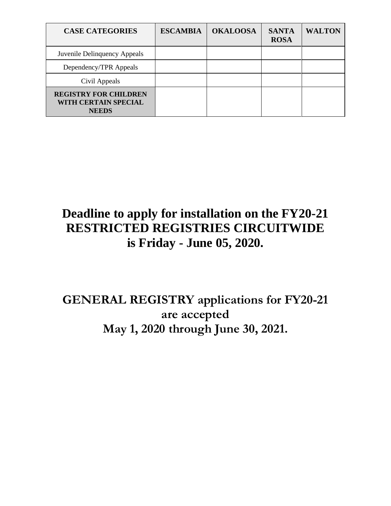| <b>CASE CATEGORIES</b>                                               | <b>ESCAMBIA</b> | <b>OKALOOSA</b> | <b>SANTA</b><br><b>ROSA</b> | <b>WALTON</b> |
|----------------------------------------------------------------------|-----------------|-----------------|-----------------------------|---------------|
| Juvenile Delinquency Appeals                                         |                 |                 |                             |               |
| Dependency/TPR Appeals                                               |                 |                 |                             |               |
| Civil Appeals                                                        |                 |                 |                             |               |
| <b>REGISTRY FOR CHILDREN</b><br>WITH CERTAIN SPECIAL<br><b>NEEDS</b> |                 |                 |                             |               |

## **Deadline to apply for installation on the FY20-21 RESTRICTED REGISTRIES CIRCUITWIDE is Friday - June 05, 2020.**

### **GENERAL REGISTRY applications for FY20-21 are accepted May 1, 2020 through June 30, 2021.**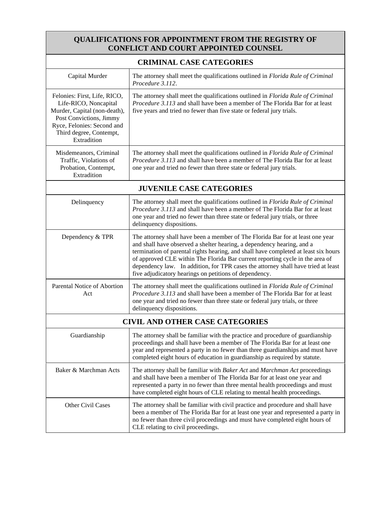### **QUALIFICATIONS FOR APPOINTMENT FROM THE REGISTRY OF CONFLICT AND COURT APPOINTED COUNSEL**

| <b>CRIMINAL CASE CATEGORIES</b>                                                                                                                                                          |                                                                                                                                                                                                                                                                                                                                                                                                                                                                                 |  |  |
|------------------------------------------------------------------------------------------------------------------------------------------------------------------------------------------|---------------------------------------------------------------------------------------------------------------------------------------------------------------------------------------------------------------------------------------------------------------------------------------------------------------------------------------------------------------------------------------------------------------------------------------------------------------------------------|--|--|
| Capital Murder                                                                                                                                                                           | The attorney shall meet the qualifications outlined in Florida Rule of Criminal<br>Procedure 3.112.                                                                                                                                                                                                                                                                                                                                                                             |  |  |
| Felonies: First, Life, RICO,<br>Life-RICO, Noncapital<br>Murder, Capital (non-death),<br>Post Convictions, Jimmy<br>Ryce, Felonies: Second and<br>Third degree, Contempt,<br>Extradition | The attorney shall meet the qualifications outlined in Florida Rule of Criminal<br>Procedure 3.113 and shall have been a member of The Florida Bar for at least<br>five years and tried no fewer than five state or federal jury trials.                                                                                                                                                                                                                                        |  |  |
| Misdemeanors, Criminal<br>Traffic, Violations of<br>Probation, Contempt,<br>Extradition                                                                                                  | The attorney shall meet the qualifications outlined in Florida Rule of Criminal<br>Procedure 3.113 and shall have been a member of The Florida Bar for at least<br>one year and tried no fewer than three state or federal jury trials.                                                                                                                                                                                                                                         |  |  |
| <b>JUVENILE CASE CATEGORIES</b>                                                                                                                                                          |                                                                                                                                                                                                                                                                                                                                                                                                                                                                                 |  |  |
| Delinquency                                                                                                                                                                              | The attorney shall meet the qualifications outlined in Florida Rule of Criminal<br><i>Procedure 3.113</i> and shall have been a member of The Florida Bar for at least<br>one year and tried no fewer than three state or federal jury trials, or three<br>delinquency dispositions.                                                                                                                                                                                            |  |  |
| Dependency & TPR                                                                                                                                                                         | The attorney shall have been a member of The Florida Bar for at least one year<br>and shall have observed a shelter hearing, a dependency hearing, and a<br>termination of parental rights hearing, and shall have completed at least six hours<br>of approved CLE within The Florida Bar current reporting cycle in the area of<br>dependency law. In addition, for TPR cases the attorney shall have tried at least<br>five adjudicatory hearings on petitions of dependency. |  |  |
| Parental Notice of Abortion<br>Act                                                                                                                                                       | The attorney shall meet the qualifications outlined in Florida Rule of Criminal<br>Procedure 3.113 and shall have been a member of The Florida Bar for at least<br>one year and tried no fewer than three state or federal jury trials, or three<br>delinquency dispositions.                                                                                                                                                                                                   |  |  |
| <b>CIVIL AND OTHER CASE CATEGORIES</b>                                                                                                                                                   |                                                                                                                                                                                                                                                                                                                                                                                                                                                                                 |  |  |
| Guardianship                                                                                                                                                                             | The attorney shall be familiar with the practice and procedure of guardianship<br>proceedings and shall have been a member of The Florida Bar for at least one<br>year and represented a party in no fewer than three guardianships and must have<br>completed eight hours of education in guardianship as required by statute.                                                                                                                                                 |  |  |
| Baker & Marchman Acts                                                                                                                                                                    | The attorney shall be familiar with Baker Act and Marchman Act proceedings<br>and shall have been a member of The Florida Bar for at least one year and<br>represented a party in no fewer than three mental health proceedings and must<br>have completed eight hours of CLE relating to mental health proceedings.                                                                                                                                                            |  |  |
| Other Civil Cases                                                                                                                                                                        | The attorney shall be familiar with civil practice and procedure and shall have<br>been a member of The Florida Bar for at least one year and represented a party in<br>no fewer than three civil proceedings and must have completed eight hours of<br>CLE relating to civil proceedings.                                                                                                                                                                                      |  |  |